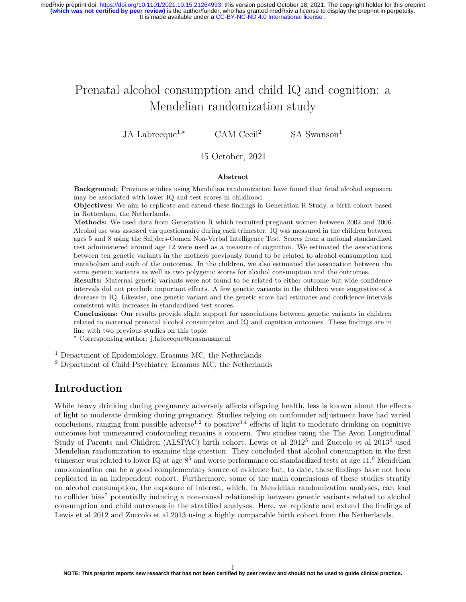It is made available under a [CC-BY-NC-ND 4.0 International license](http://creativecommons.org/licenses/by-nc-nd/4.0/) . **(which was not certified by peer review)** is the author/funder, who has granted medRxiv a license to display the preprint in perpetuity. medRxiv preprint doi: [https://doi.org/10.1101/2021.10.15.21264993;](https://doi.org/10.1101/2021.10.15.21264993) this version posted October 18, 2021. The copyright holder for this preprint

# Prenatal alcohol consumption and child IQ and cognition: a Mendelian randomization study

JA Labrecque<sup>1,∗</sup> CAM Cecil<sup>2</sup> SA Swanson<sup>1</sup>

#### 15 October, 2021

#### **Abstract**

**Background:** Previous studies using Mendelian randomization have found that fetal alcohol exposure may be associated with lower IQ and test scores in childhood.

**Objectives:** We aim to replicate and extend these findings in Generation R Study, a birth cohort based in Rotterdam, the Netherlands.

**Methods:** We used data from Generation R which recruited pregnant women between 2002 and 2006. Alcohol use was assessed via questionnaire during each trimester. IQ was measured in the children between ages 5 and 8 using the Snijders-Oomen Non-Verbal Intelligence Test. Scores from a national standardized test administered around age 12 were used as a measure of cognition. We estimated the associations between ten genetic variants in the mothers previously found to be related to alcohol consumption and metabolism and each of the outcomes. In the children, we also estimated the association between the same genetic variants as well as two polygenic scores for alcohol consumption and the outcomes.

**Results:** Maternal genetic variants were not found to be related to either outcome but wide confidence intervals did not preclude important effects. A few genetic variants in the children were suggestive of a decrease in IQ. Likewise, one genetic variant and the genetic score had estimates and confidence intervals consistent with increases in standardized test scores.

**Conclusions:** Our results provide slight support for associations between genetic variants in children related to maternal prenatal alcohol consumption and IQ and cognition outcomes. These findings are in line with two previous studies on this topic.

<sup>∗</sup> Corresponsing author: [j.labrecque@erasmusmc.nl](mailto:j.labrecque@erasmusmc.nl)

<sup>1</sup> Department of Epidemiology, Erasmus MC, the Netherlands

<sup>2</sup> Department of Child Psychiatry, Erasmus MC, the Netherlands

### **Introduction**

While heavy drinking during pregnancy adversely affects offspring health, less is known about the effects of light to moderate drinking during pregnancy. Studies relying on confounder adjustment have had varied conclusions, ranging from possible adverse<sup>1,2</sup> to positive<sup>3,4</sup> effects of light to moderate drinking on cognitive outcomes but unmeasured confounding remains a concern. Two studies using the The Avon Longitudinal Study of Parents and Children (ALSPAC) birth cohort, Lewis et al 2012<sup>5</sup> and Zuccolo et al 2013<sup>6</sup> used Mendelian randomization to examine this question. They concluded that alcohol consumption in the first trimester was related to lower IQ at age  $8^5$  and worse performance on standardized tests at age 11.<sup>6</sup> Mendelian randomization can be a good complementary source of evidence but, to date, these findings have not been replicated in an independent cohort. Furthermore, some of the main conclusions of these studies stratify on alcohol consumption, the exposure of interest, which, in Mendelian randomization analyses, can lead to collider bias<sup>7</sup> potentially inducing a non-causal relationship between genetic variants related to alcohol consumption and child outcomes in the stratified analyses. Here, we replicate and extend the findings of Lewis et al 2012 and Zuccolo et al 2013 using a highly comparable birth cohort from the Netherlands.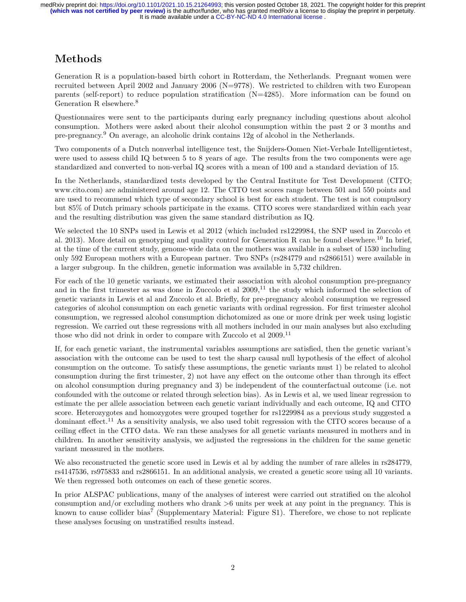## **Methods**

Generation R is a population-based birth cohort in Rotterdam, the Netherlands. Pregnant women were recruited between April 2002 and January 2006 ( $N=9778$ ). We restricted to children with two European parents (self-report) to reduce population stratification (N=4285). More information can be found on Generation R elsewhere.<sup>8</sup>

Questionnaires were sent to the participants during early pregnancy including questions about alcohol consumption. Mothers were asked about their alcohol consumption within the past 2 or 3 months and pre-pregnancy.<sup>9</sup> On average, an alcoholic drink contains 12g of alcohol in the Netherlands.

Two components of a Dutch nonverbal intelligence test, the Snijders-Oomen Niet-Verbale Intelligentietest, were used to assess child IQ between 5 to 8 years of age. The results from the two components were age standardized and converted to non-verbal IQ scores with a mean of 100 and a standard deviation of 15.

In the Netherlands, standardized tests developed by the Central Institute for Test Development (CITO; [www.cito.com\)](www.cito.com) are administered around age 12. The CITO test scores range between 501 and 550 points and are used to recommend which type of secondary school is best for each student. The test is not compulsory but 85% of Dutch primary schools participate in the exams. CITO scores were standardized within each year and the resulting distribution was given the same standard distribution as IQ.

We selected the 10 SNPs used in Lewis et al 2012 (which included rs1229984, the SNP used in Zuccolo et al. 2013). More detail on genotyping and quality control for Generation R can be found elsewhere.<sup>10</sup> In brief, at the time of the current study, genome-wide data on the mothers was available in a subset of 1530 including only 592 European mothers with a European partner. Two SNPs (rs284779 and rs2866151) were available in a larger subgroup. In the children, genetic information was available in 5,732 children.

For each of the 10 genetic variants, we estimated their association with alcohol consumption pre-pregnancy and in the first trimester as was done in Zuccolo et al  $2009$ ,<sup>11</sup> the study which informed the selection of genetic variants in Lewis et al and Zuccolo et al. Briefly, for pre-pregnancy alcohol consumption we regressed categories of alcohol consumption on each genetic variants with ordinal regression. For first trimester alcohol consumption, we regressed alcohol consumption dichotomized as one or more drink per week using logistic regression. We carried out these regressions with all mothers included in our main analyses but also excluding those who did not drink in order to compare with Zuccolo et al 2009.<sup>11</sup>

If, for each genetic variant, the instrumental variables assumptions are satisfied, then the genetic variant's association with the outcome can be used to test the sharp causal null hypothesis of the effect of alcohol consumption on the outcome. To satisfy these assumptions, the genetic variants must 1) be related to alcohol consumption during the first trimester, 2) not have any effect on the outcome other than through its effect on alcohol consumption during pregnancy and 3) be independent of the counterfactual outcome (i.e. not confounded with the outcome or related through selection bias). As in Lewis et al, we used linear regression to estimate the per allele association between each genetic variant individually and each outcome, IQ and CITO score. Heterozygotes and homozygotes were grouped together for rs1229984 as a previous study suggested a dominant effect.<sup>11</sup> As a sensitivity analysis, we also used tobit regression with the CITO scores because of a ceiling effect in the CITO data. We ran these analyses for all genetic variants measured in mothers and in children. In another sensitivity analysis, we adjusted the regressions in the children for the same genetic variant measured in the mothers.

We also reconstructed the genetic score used in Lewis et al by adding the number of rare alleles in rs284779, rs4147536, rs975833 and rs2866151. In an additional analysis, we created a genetic score using all 10 variants. We then regressed both outcomes on each of these genetic scores.

In prior ALSPAC publications, many of the analyses of interest were carried out stratified on the alcohol consumption and/or excluding mothers who drank >6 units per week at any point in the pregnancy. This is known to cause collider bias<sup>7</sup> (Supplementary Material: Figure S1). Therefore, we chose to not replicate these analyses focusing on unstratified results instead.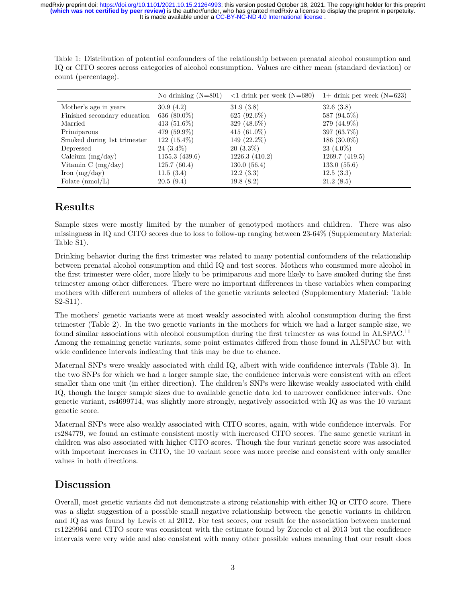It is made available under a [CC-BY-NC-ND 4.0 International license](http://creativecommons.org/licenses/by-nc-nd/4.0/) . **(which was not certified by peer review)** is the author/funder, who has granted medRxiv a license to display the preprint in perpetuity. medRxiv preprint doi: [https://doi.org/10.1101/2021.10.15.21264993;](https://doi.org/10.1101/2021.10.15.21264993) this version posted October 18, 2021. The copyright holder for this preprint

Table 1: Distribution of potential confounders of the relationship between prenatal alcohol consumption and IQ or CITO scores across categories of alcohol consumption. Values are either mean (standard deviation) or count (percentage).

|                                           | No drinking $(N=801)$ | $\langle 1 \text{ drink per week (N=680)} \rangle$ | $1+$ drink per week (N=623) |
|-------------------------------------------|-----------------------|----------------------------------------------------|-----------------------------|
| Mother's age in years                     | 30.9(4.2)             | 31.9(3.8)                                          | 32.6(3.8)                   |
| Finished secondary education              | 636 $(80.0\%)$        | 625 $(92.6\%)$                                     | 587 (94.5%)                 |
| Married                                   | 413 $(51.6\%)$        | 329 $(48.6\%)$                                     | 279 (44.9%)                 |
| Primiparous                               | 479 (59.9%)           | 415 $(61.0\%)$                                     | 397 (63.7%)                 |
| Smoked during 1st trimester               | $122(15.4\%)$         | 149 (22.2%)                                        | 186 $(30.0\%)$              |
| Depressed                                 | $24(3.4\%)$           | $20(3.3\%)$                                        | $23(4.0\%)$                 |
| Calcium $(mg/day)$                        | 1155.3(439.6)         | 1226.3 (410.2)                                     | 1269.7(419.5)               |
| Vitamin $C \left( \frac{mg}{day} \right)$ | 125.7(60.4)           | 130.0(56.4)                                        | 133.0(55.6)                 |
| Iron $(mg/day)$                           | 11.5(3.4)             | 12.2(3.3)                                          | 12.5(3.3)                   |
| Folate $(nmol/L)$                         | 20.5(9.4)             | 19.8(8.2)                                          | 21.2(8.5)                   |

### **Results**

Sample sizes were mostly limited by the number of genotyped mothers and children. There was also missingness in IQ and CITO scores due to loss to follow-up ranging between 23-64% (Supplementary Material: Table S1).

Drinking behavior during the first trimester was related to many potential confounders of the relationship between prenatal alcohol consumption and child IQ and test scores. Mothers who consumed more alcohol in the first trimester were older, more likely to be primiparous and more likely to have smoked during the first trimester among other differences. There were no important differences in these variables when comparing mothers with different numbers of alleles of the genetic variants selected (Supplementary Material: Table S2-S11).

The mothers' genetic variants were at most weakly associated with alcohol consumption during the first trimester (Table [2\)](#page-3-0). In the two genetic variants in the mothers for which we had a larger sample size, we found similar associations with alcohol consumption during the first trimester as was found in ALSPAC.<sup>11</sup> Among the remaining genetic variants, some point estimates differed from those found in ALSPAC but with wide confidence intervals indicating that this may be due to chance.

Maternal SNPs were weakly associated with child IQ, albeit with wide confidence intervals (Table [3\)](#page-4-0). In the two SNPs for which we had a larger sample size, the confidence intervals were consistent with an effect smaller than one unit (in either direction). The children's SNPs were likewise weakly associated with child IQ, though the larger sample sizes due to available genetic data led to narrower confidence intervals. One genetic variant, rs4699714, was slightly more strongly, negatively associated with IQ as was the 10 variant genetic score.

Maternal SNPs were also weakly associated with CITO scores, again, with wide confidence intervals. For rs284779, we found an estimate consistent mostly with increased CITO scores. The same genetic variant in children was also associated with higher CITO scores. Though the four variant genetic score was associated with important increases in CITO, the 10 variant score was more precise and consistent with only smaller values in both directions.

### **Discussion**

Overall, most genetic variants did not demonstrate a strong relationship with either IQ or CITO score. There was a slight suggestion of a possible small negative relationship between the genetic variants in children and IQ as was found by Lewis et al 2012. For test scores, our result for the association between maternal rs1229964 and CITO score was consistent with the estimate found by Zuccolo et al 2013 but the confidence intervals were very wide and also consistent with many other possible values meaning that our result does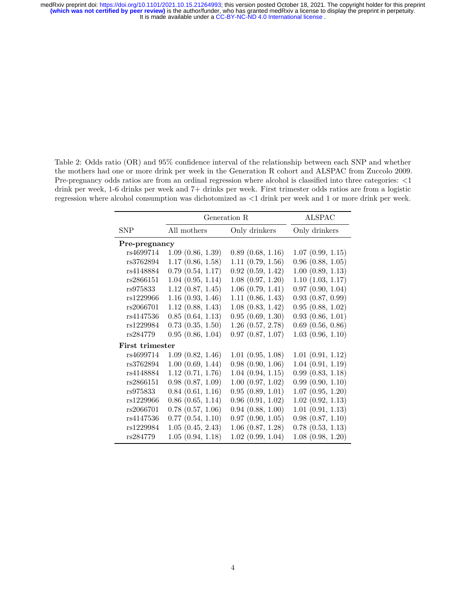It is made available under a [CC-BY-NC-ND 4.0 International license](http://creativecommons.org/licenses/by-nc-nd/4.0/) . medRxiv preprint doi: [https://doi.org/10.1101/2021.10.15.21264993;](https://doi.org/10.1101/2021.10.15.21264993) this version posted October 18, 2021. The copyright holder for this preprint<br>(which was not certified by peer review) is the author/funder, who has granted

<span id="page-3-0"></span>Table 2: Odds ratio (OR) and 95% confidence interval of the relationship between each SNP and whether the mothers had one or more drink per week in the Generation R cohort and ALSPAC from Zuccolo 2009. Pre-pregnancy odds ratios are from an ordinal regression where alcohol is classified into three categories: <1 drink per week, 1-6 drinks per week and 7+ drinks per week. First trimester odds ratios are from a logistic regression where alcohol consumption was dichotomized as <1 drink per week and 1 or more drink per week.

|                        | Generation R          | <b>ALSPAC</b>         |                       |  |  |  |  |
|------------------------|-----------------------|-----------------------|-----------------------|--|--|--|--|
| <b>SNP</b>             | All mothers           | Only drinkers         | Only drinkers         |  |  |  |  |
| Pre-pregnancy          |                       |                       |                       |  |  |  |  |
| rs4699714              | 1.09(0.86, 1.39)      | 0.89(0.68, 1.16)      | 1.07(0.99, 1.15)      |  |  |  |  |
| rs3762894              | 1.17(0.86, 1.58)      | 1.11(0.79, 1.56)      | $0.96$ $(0.88, 1.05)$ |  |  |  |  |
| rs4148884              | 0.79(0.54, 1.17)      | 0.92(0.59, 1.42)      | 1.00(0.89, 1.13)      |  |  |  |  |
| rs2866151              | 1.04(0.95, 1.14)      | 1.08(0.97, 1.20)      | 1.10(1.03, 1.17)      |  |  |  |  |
| rs975833               | 1.12(0.87, 1.45)      | $1.06$ $(0.79, 1.41)$ | 0.97(0.90, 1.04)      |  |  |  |  |
| rs1229966              | 1.16(0.93, 1.46)      | 1.11(0.86, 1.43)      | 0.93(0.87, 0.99)      |  |  |  |  |
| rs2066701              | 1.12(0.88, 1.43)      | 1.08(0.83, 1.42)      | 0.95(0.88, 1.02)      |  |  |  |  |
| rs4147536              | 0.85(0.64, 1.13)      | 0.95(0.69, 1.30)      | 0.93(0.86, 1.01)      |  |  |  |  |
| rs1229984              | $0.73$ $(0.35, 1.50)$ | $1.26$ $(0.57, 2.78)$ | $0.69$ $(0.56, 0.86)$ |  |  |  |  |
| rs284779               | 0.95(0.86, 1.04)      | $0.97$ $(0.87, 1.07)$ | 1.03(0.96, 1.10)      |  |  |  |  |
| <b>First trimester</b> |                       |                       |                       |  |  |  |  |
| rs4699714              | 1.09(0.82, 1.46)      | 1.01(0.95, 1.08)      | 1.01(0.91, 1.12)      |  |  |  |  |
| rs3762894              | 1.00(0.69, 1.44)      | 0.98(0.90, 1.06)      | 1.04(0.91, 1.19)      |  |  |  |  |
| rs4148884              | 1.12(0.71, 1.76)      | 1.04(0.94, 1.15)      | 0.99(0.83, 1.18)      |  |  |  |  |
| rs2866151              | 0.98(0.87, 1.09)      | $1.00$ $(0.97, 1.02)$ | 0.99(0.90, 1.10)      |  |  |  |  |
| rs975833               | 0.84(0.61, 1.16)      | 0.95(0.89, 1.01)      | 1.07(0.95, 1.20)      |  |  |  |  |
| rs1229966              | $0.86$ $(0.65, 1.14)$ | $0.96$ $(0.91, 1.02)$ | 1.02(0.92, 1.13)      |  |  |  |  |
| rs2066701              | $0.78$ $(0.57, 1.06)$ | $0.94$ $(0.88, 1.00)$ | 1.01(0.91, 1.13)      |  |  |  |  |
| rs4147536              | 0.77(0.54, 1.10)      | 0.97(0.90, 1.05)      | 0.98(0.87, 1.10)      |  |  |  |  |
| rs1229984              | 1.05(0.45, 2.43)      | $1.06$ $(0.87, 1.28)$ | $0.78$ $(0.53, 1.13)$ |  |  |  |  |
| rs284779               | 1.05(0.94, 1.18)      | 1.02(0.99, 1.04)      | 1.08(0.98, 1.20)      |  |  |  |  |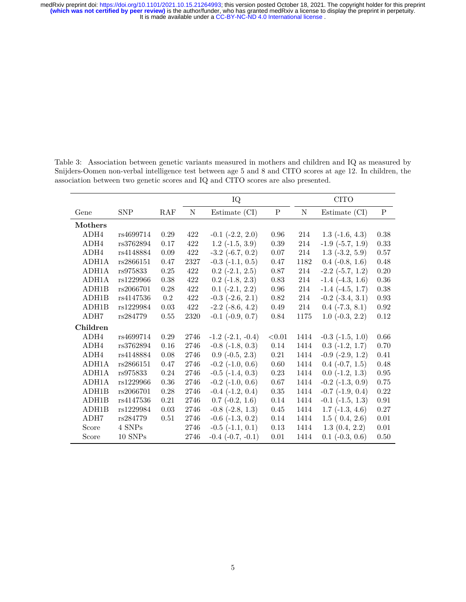It is made available under a [CC-BY-NC-ND 4.0 International license](http://creativecommons.org/licenses/by-nc-nd/4.0/) . medRxiv preprint doi: [https://doi.org/10.1101/2021.10.15.21264993;](https://doi.org/10.1101/2021.10.15.21264993) this version posted October 18, 2021. The copyright holder for this preprint<br>(which was not certified by peer review) is the author/funder, who has granted

|                |                    |            | IQ   |                          | <b>CITO</b> |      |                          |            |
|----------------|--------------------|------------|------|--------------------------|-------------|------|--------------------------|------------|
| Gene           | <b>SNP</b>         | RAF        | N    | Estimate (CI)            | P           | N    | Estimate (CI)            | P          |
| <b>Mothers</b> |                    |            |      |                          |             |      |                          |            |
| ADH4           | rs4699714          | 0.29       | 422  | $-0.1$ $(-2.2, 2.0)$     | 0.96        | 214  | $1.3$ ( $-1.6$ , $4.3$ ) | 0.38       |
| ADH4           | rs3762894          | 0.17       | 422  | $1.2$ ( $-1.5$ , $3.9$ ) | $0.39\,$    | 214  | $-1.9$ $(-5.7, 1.9)$     | 0.33       |
| ADH4           | rs4148884          | $0.09\,$   | 422  | $-3.2$ $(-6.7, 0.2)$     | $0.07\,$    | 214  | $1.3$ $(-3.2, 5.9)$      | 0.57       |
| ADH1A          | rs2866151          | 0.47       | 2327 | $-0.3$ $(-1.1, 0.5)$     | $0.47\,$    | 1182 | $0.4$ ( $-0.8$ , 1.6)    | $0.48\,$   |
| ADH1A          | rs975833           | 0.25       | 422  | $0.2$ (-2.1, 2.5)        | 0.87        | 214  | $-2.2$ $(-5.7, 1.2)$     | 0.20       |
| ADH1A          | rs1229966          | $0.38\,$   | 422  | $0.2$ ( $-1.8$ , $2.3$ ) | 0.83        | 214  | $-1.4$ $(-4.3, 1.6)$     | 0.36       |
| ADH1B          | rs2066701          | 0.28       | 422  | $0.1$ ( $-2.1$ , $2.2$ ) | 0.96        | 214  | $-1.4$ $(-4.5, 1.7)$     | 0.38       |
| ADH1B          | rs4147536          | $0.2\,$    | 422  | $-0.3$ $(-2.6, 2.1)$     | 0.82        | 214  | $-0.2$ $(-3.4, 3.1)$     | 0.93       |
| ADH1B          | rs1229984          | 0.03       | 422  | $-2.2$ $(-8.6, 4.2)$     | $0.49\,$    | 214  | $0.4$ ( $-7.3$ , $8.1$ ) | 0.92       |
| ADH7           | rs284779           | 0.55       | 2320 | $-0.1$ $(-0.9, 0.7)$     | $0.84\,$    | 1175 | $1.0(-0.3, 2.2)$         | $0.12\,$   |
| Children       |                    |            |      |                          |             |      |                          |            |
| ADH4           | rs4699714          | $0.29\,$   | 2746 | $-1.2$ $(-2.1, -0.4)$    | < 0.01      | 1414 | $-0.3$ $(-1.5, 1.0)$     | $0.66\,$   |
| ADH4           | rs3762894          | $0.16\,$   | 2746 | $-0.8$ $(-1.8, 0.3)$     | $0.14\,$    | 1414 | $0.3$ $(-1.2, 1.7)$      | 0.70       |
| ADH4           | rs4148884          | $0.08\,$   | 2746 | $0.9(-0.5, 2.3)$         | $0.21\,$    | 1414 | $-0.9$ $(-2.9, 1.2)$     | 0.41       |
| ADH1A          | rs2866151          | 0.47       | 2746 | $-0.2$ $(-1.0, 0.6)$     | 0.60        | 1414 | $0.4$ ( $-0.7, 1.5$ )    | 0.48       |
| ADH1A          | rs975833           | $0.24\,$   | 2746 | $-0.5$ $(-1.4, 0.3)$     | 0.23        | 1414 | $0.0$ ( $-1.2$ , $1.3$ ) | $\rm 0.95$ |
| ADH1A          | rs1229966          | 0.36       | 2746 | $-0.2$ $(-1.0, 0.6)$     | 0.67        | 1414 | $-0.2$ $(-1.3, 0.9)$     | 0.75       |
| ADH1B          | rs2066701          | 0.28       | 2746 | $-0.4$ $(-1.2, 0.4)$     | 0.35        | 1414 | $-0.7$ $(-1.9, 0.4)$     | 0.22       |
| ADH1B          | rs4147536          | $\rm 0.21$ | 2746 | $0.7$ ( $-0.2$ , 1.6)    | $0.14\,$    | 1414 | $-0.1$ $(-1.5, 1.3)$     | $\rm 0.91$ |
| ADH1B          | rs1229984          | $0.03\,$   | 2746 | $-0.8$ $(-2.8, 1.3)$     | 0.45        | 1414 | $1.7$ ( $-1.3$ , $4.6$ ) | 0.27       |
| ADH7           | rs284779           | 0.51       | 2746 | $-0.6$ $(-1.3, 0.2)$     | 0.14        | 1414 | 1.5(0.4, 2.6)            | 0.01       |
| Score          | 4 SNPs             |            | 2746 | $-0.5$ $(-1.1, 0.1)$     | 0.13        | 1414 | 1.3(0.4, 2.2)            | 0.01       |
| Score          | $10~\mathrm{SNPs}$ |            | 2746 | $-0.4$ $(-0.7, -0.1)$    | $0.01\,$    | 1414 | $0.1$ ( $-0.3, 0.6$ )    | 0.50       |

<span id="page-4-0"></span>Table 3: Association between genetic variants measured in mothers and children and IQ as measured by Snijders-Oomen non-verbal intelligence test between age 5 and 8 and CITO scores at age 12. In children, the association between two genetic scores and IQ and CITO scores are also presented.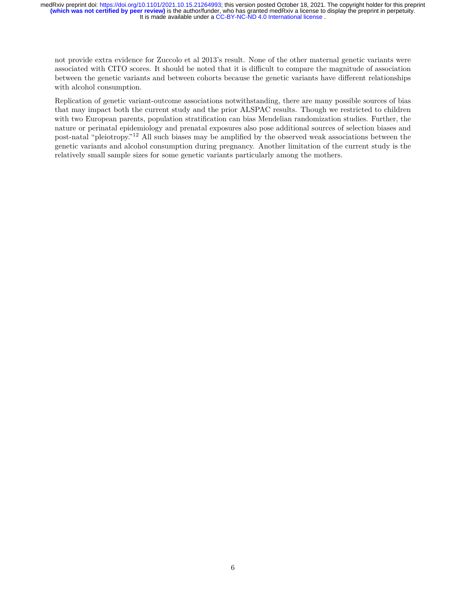It is made available under a [CC-BY-NC-ND 4.0 International license](http://creativecommons.org/licenses/by-nc-nd/4.0/) . medRxiv preprint doi: [https://doi.org/10.1101/2021.10.15.21264993;](https://doi.org/10.1101/2021.10.15.21264993) this version posted October 18, 2021. The copyright holder for this preprint<br>(which was not certified by peer review) is the author/funder, who has granted

not provide extra evidence for Zuccolo et al 2013's result. None of the other maternal genetic variants were associated with CITO scores. It should be noted that it is difficult to compare the magnitude of association between the genetic variants and between cohorts because the genetic variants have different relationships with alcohol consumption.

Replication of genetic variant-outcome associations notwithstanding, there are many possible sources of bias that may impact both the current study and the prior ALSPAC results. Though we restricted to children with two European parents, population stratification can bias Mendelian randomization studies. Further, the nature or perinatal epidemiology and prenatal exposures also pose additional sources of selection biases and post-natal "pleiotropy."<sup>12</sup> All such biases may be amplified by the observed weak associations between the genetic variants and alcohol consumption during pregnancy. Another limitation of the current study is the relatively small sample sizes for some genetic variants particularly among the mothers.